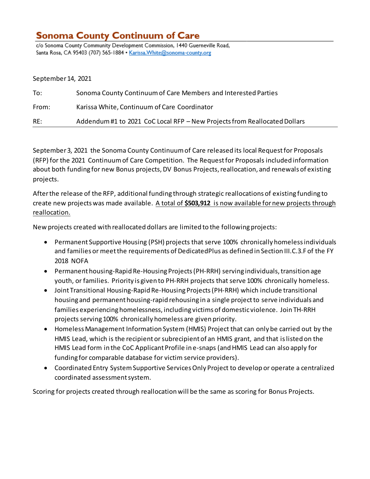## **Sonoma County Continuum of Care**

c/o Sonoma County Community Development Commission, 1440 Guerneville Road, Santa Rosa, CA 95403 (707) 565-1884 . Karissa. White@sonoma-county.org

September 14, 2021

| To:   | Sonoma County Continuum of Care Members and Interested Parties            |
|-------|---------------------------------------------------------------------------|
| From: | Karissa White, Continuum of Care Coordinator                              |
| RE:   | Addendum #1 to 2021 CoC Local RFP - New Projects from Reallocated Dollars |

September 3, 2021 the Sonoma County Continuum of Care released its local Request for Proposals (RFP) for the 2021 Continuum of Care Competition. The Request for Proposals included information about both funding for new Bonus projects, DV Bonus Projects, reallocation, and renewals of existing projects.

After the release of the RFP, additional funding through strategic reallocations of existing funding to create new projectswas made available. A total of **\$503,912** is now available for new projects through reallocation.

New projects created with reallocated dollars are limited to the following projects:

- Permanent Supportive Housing (PSH) projects that serve 100% chronically homeless individuals and families or meet the requirements of DedicatedPlus as defined in Section III.C.3.F of the FY 2018 NOFA
- Permanent housing-Rapid Re-Housing Projects (PH-RRH) serving individuals, transition age youth, or families. Priority is given to PH-RRH projects that serve 100% chronically homeless.
- Joint Transitional Housing-Rapid Re-Housing Projects (PH-RRH) which include transitional housing and permanent housing-rapid rehousing in a single project to serve individuals and families experiencing homelessness, including victims of domestic violence. Join TH-RRH projects serving 100% chronically homeless are given priority.
- Homeless Management Information System (HMIS) Project that can only be carried out by the HMIS Lead, which is the recipient or subrecipient of an HMIS grant, and that is listed on the HMIS Lead form in the CoC Applicant Profile in e-snaps (and HMIS Lead can also apply for funding for comparable database for victim service providers).
- Coordinated Entry System Supportive Services Only Project to develop or operate a centralized coordinated assessment system.

Scoring for projects created through reallocation will be the same as scoring for Bonus Projects.